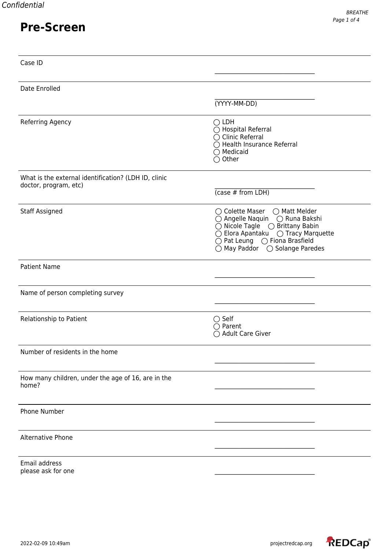| Case ID                                                                       |                                                                                                                                                                                                           |
|-------------------------------------------------------------------------------|-----------------------------------------------------------------------------------------------------------------------------------------------------------------------------------------------------------|
| Date Enrolled                                                                 |                                                                                                                                                                                                           |
|                                                                               | (YYYY-MM-DD)                                                                                                                                                                                              |
| Referring Agency                                                              | $\bigcirc$ LDH<br>◯ Hospital Referral<br>$\bigcirc$ Clinic Referral<br>◯ Health Insurance Referral<br>$\bigcirc$ Medicaid<br>$\bigcirc$ Other                                                             |
| What is the external identification? (LDH ID, clinic<br>doctor, program, etc) |                                                                                                                                                                                                           |
|                                                                               | $(\cose \# from LDH)$                                                                                                                                                                                     |
| <b>Staff Assigned</b>                                                         | ◯ Colette Maser ◯ Matt Melder<br>○ Angelle Naquin ○ Runa Bakshi<br>$\bigcirc$ Nicole Tagle $\bigcirc$ Brittany Babin<br>$\bigcirc$ Pat Leung $\bigcirc$ Fiona Brasfield<br>○ May Paddor ○ Solange Paredes |
| <b>Patient Name</b>                                                           |                                                                                                                                                                                                           |
| Name of person completing survey                                              |                                                                                                                                                                                                           |
| Relationship to Patient                                                       | $\bigcirc$ Self<br>$\bigcirc$ Parent<br>○ Adult Care Giver                                                                                                                                                |
| Number of residents in the home                                               |                                                                                                                                                                                                           |
| How many children, under the age of 16, are in the<br>home?                   |                                                                                                                                                                                                           |
| Phone Number                                                                  |                                                                                                                                                                                                           |
| Alternative Phone                                                             |                                                                                                                                                                                                           |
| Email address<br>please ask for one                                           |                                                                                                                                                                                                           |

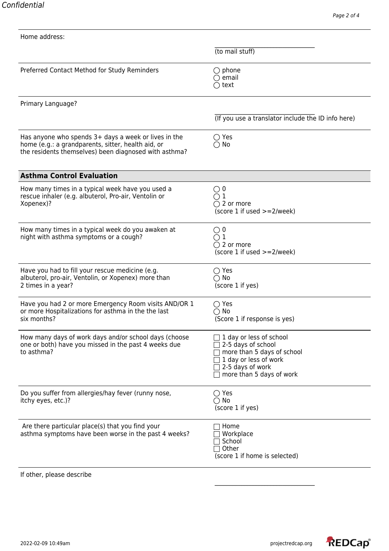|                                                                                                                                                                     | (to mail stuff)                                                                                                                                      |
|---------------------------------------------------------------------------------------------------------------------------------------------------------------------|------------------------------------------------------------------------------------------------------------------------------------------------------|
| Preferred Contact Method for Study Reminders                                                                                                                        | $\bigcirc$ phone<br>email<br>$\bigcirc$ text                                                                                                         |
| Primary Language?                                                                                                                                                   |                                                                                                                                                      |
|                                                                                                                                                                     | (If you use a translator include the ID info here)                                                                                                   |
| Has anyone who spends 3+ days a week or lives in the<br>home (e.g.: a grandparents, sitter, health aid, or<br>the residents themselves) been diagnosed with asthma? | $\bigcirc$ Yes<br>$\bigcirc$ No                                                                                                                      |
| <b>Asthma Control Evaluation</b>                                                                                                                                    |                                                                                                                                                      |
| How many times in a typical week have you used a<br>rescue inhaler (e.g. albuterol, Pro-air, Ventolin or<br>Xopenex)?                                               | ()0<br>$\mathbf 1$<br>$\bigcirc$ 2 or more<br>(score 1 if used $>=2$ /week)                                                                          |
| How many times in a typical week do you awaken at<br>night with asthma symptoms or a cough?                                                                         | $\bigcirc$ 0<br>$\bigcirc$ 1<br>$\bigcirc$ 2 or more<br>(score 1 if used $>=2$ /week)                                                                |
| Have you had to fill your rescue medicine (e.g.<br>albuterol, pro-air, Ventolin, or Xopenex) more than<br>2 times in a year?                                        | $\bigcirc$ Yes<br>$\bigcirc$ No<br>(score 1 if yes)                                                                                                  |
| Have you had 2 or more Emergency Room visits AND/OR 1<br>or more Hospitalizations for asthma in the the last<br>six months?                                         | $\bigcirc$ Yes<br>$\bigcirc$ No<br>(Score 1 if response is yes)                                                                                      |
| How many days of work days and/or school days (choose<br>one or both) have you missed in the past 4 weeks due<br>to asthma?                                         | 1 day or less of school<br>2-5 days of school<br>more than 5 days of school<br>1 day or less of work<br>2-5 days of work<br>more than 5 days of work |
| Do you suffer from allergies/hay fever (runny nose,<br>itchy eyes, etc.)?                                                                                           | $\bigcirc$ Yes<br>$\bigcirc$ No<br>(score 1 if yes)                                                                                                  |
| Are there particular place(s) that you find your<br>asthma symptoms have been worse in the past 4 weeks?                                                            | Home<br>Workplace<br>School<br>Other<br>(score 1 if home is selected)                                                                                |
| If other, please describe                                                                                                                                           |                                                                                                                                                      |

\_\_\_\_\_\_\_\_\_\_\_\_\_\_\_\_\_\_\_\_\_\_\_\_\_\_\_\_\_\_\_\_\_\_

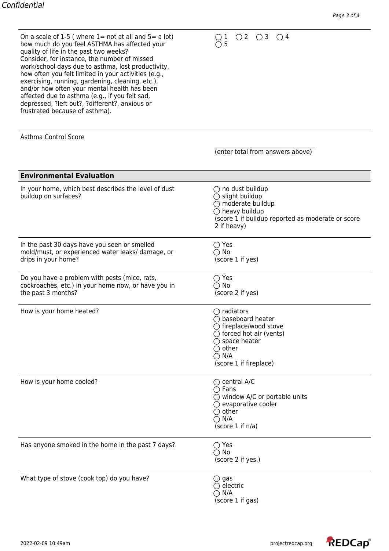| On a scale of 1-5 (where $1=$ not at all and $5=$ a lot) |
|----------------------------------------------------------|
| how much do you feel ASTHMA has affected your            |
| quality of life in the past two weeks?                   |
| Consider, for instance, the number of missed             |
| work/school days due to asthma, lost productivity,       |
| how often you felt limited in your activities (e.g.,     |
| exercising, running, gardening, cleaning, etc.),         |
| and/or how often your mental health has been             |
| affected due to asthma (e.g., if you felt sad,           |
| depressed, ?left out?, ?different?, anxious or           |
| frustrated because of asthma).                           |
|                                                          |

 $1$   $\circ$  2  $\circ$  3  $\circ$  4 5

| Asthma Control Score                                                                                                       |                                                                                                                                                                                                                        |
|----------------------------------------------------------------------------------------------------------------------------|------------------------------------------------------------------------------------------------------------------------------------------------------------------------------------------------------------------------|
|                                                                                                                            | (enter total from answers above)                                                                                                                                                                                       |
| <b>Environmental Evaluation</b>                                                                                            |                                                                                                                                                                                                                        |
| In your home, which best describes the level of dust<br>buildup on surfaces?                                               | $\bigcirc$ no dust buildup<br>$\bigcirc$ slight buildup<br>$\bigcirc$ moderate buildup<br>$\bigcirc$ heavy buildup<br>(score 1 if buildup reported as moderate or score<br>2 if heavy)                                 |
| In the past 30 days have you seen or smelled<br>mold/must, or experienced water leaks/ damage, or<br>drips in your home?   | $\bigcirc$ Yes<br>$\bigcirc$ No<br>(score 1 if yes)                                                                                                                                                                    |
| Do you have a problem with pests (mice, rats,<br>cockroaches, etc.) in your home now, or have you in<br>the past 3 months? | $\bigcirc$ Yes<br>$\bigcirc$ No<br>(score 2 if yes)                                                                                                                                                                    |
| How is your home heated?                                                                                                   | $\bigcirc$ radiators<br>$\bigcirc$ baseboard heater<br>$\bigcirc$ fireplace/wood stove<br>$\bigcirc$ forced hot air (vents)<br>$\bigcirc$ space heater<br>$\bigcirc$ other<br>$\bigcirc$ N/A<br>(score 1 if fireplace) |
| How is your home cooled?                                                                                                   | $\bigcirc$ central A/C<br>$\bigcirc$ Fans<br>$\bigcirc$ window A/C or portable units<br>$\bigcirc$ evaporative cooler<br>other<br>N/A<br>(score 1 if n/a)                                                              |
| Has anyone smoked in the home in the past 7 days?                                                                          | $\bigcirc$ Yes<br>$\bigcirc$ No<br>(score 2 if yes.)                                                                                                                                                                   |
| What type of stove (cook top) do you have?                                                                                 | $\bigcirc$ gas<br>electric<br>N/A                                                                                                                                                                                      |

(score 1 if gas)